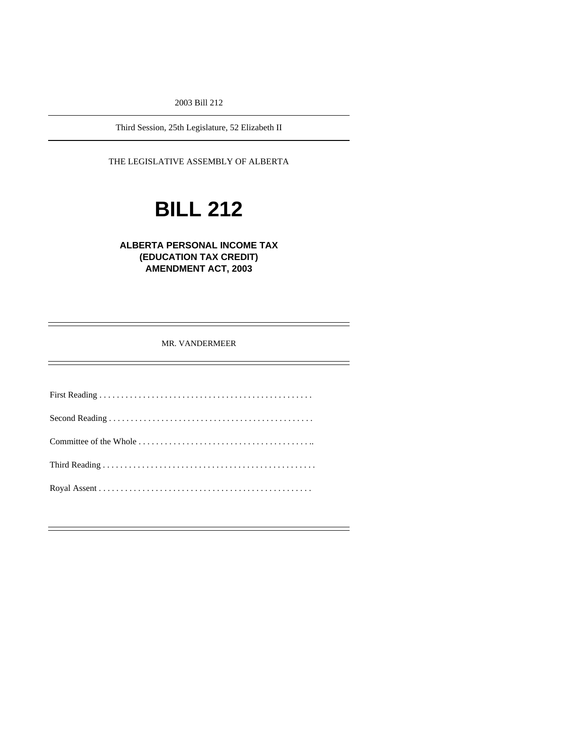2003 Bill 212

Third Session, 25th Legislature, 52 Elizabeth II

THE LEGISLATIVE ASSEMBLY OF ALBERTA

# **BILL 212**

**ALBERTA PERSONAL INCOME TAX (EDUCATION TAX CREDIT) AMENDMENT ACT, 2003** 

MR. VANDERMEER

First Reading . . . . . . . . . . . . . . . . . . . . . . . . . . . . . . . . . . . . . . . . . . . . . . . . . Second Reading . . . . . . . . . . . . . . . . . . . . . . . . . . . . . . . . . . . . . . . . . . . . . . . Committee of the Whole . . . . . . . . . . . . . . . . . . . . . . . . . . . . . . . . . . . . . . . .. Third Reading . . . . . . . . . . . . . . . . . . . . . . . . . . . . . . . . . . . . . . . . . . . . . . . . . Royal Assent . . . . . . . . . . . . . . . . . . . . . . . . . . . . . . . . . . . . . . . . . . . . . . . . .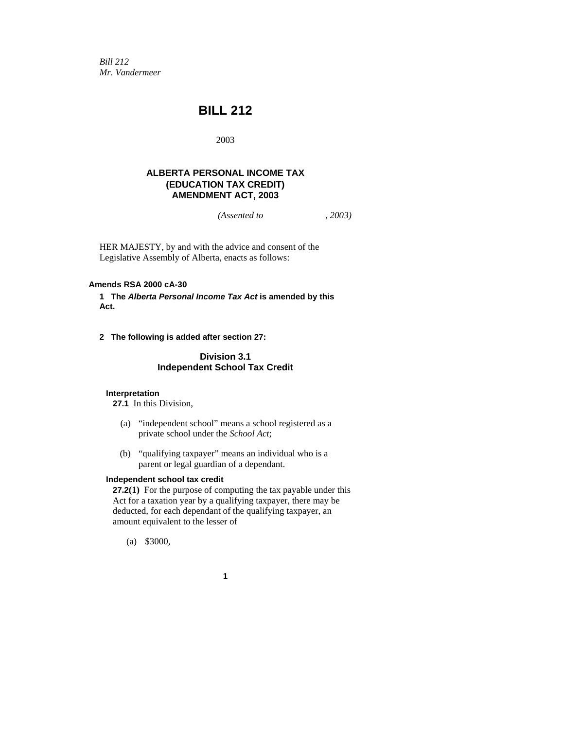*Bill 212 Mr. Vandermeer* 

# **BILL 212**

2003

## **ALBERTA PERSONAL INCOME TAX (EDUCATION TAX CREDIT) AMENDMENT ACT, 2003**

*(Assented to , 2003)* 

HER MAJESTY, by and with the advice and consent of the Legislative Assembly of Alberta, enacts as follows:

### **Amends RSA 2000 cA-30**

**1 The** *Alberta Personal Income Tax Act* **is amended by this Act.** 

**2 The following is added after section 27:** 

# **Division 3.1 Independent School Tax Credit**

#### **Interpretation**

**27.1** In this Division,

- (a) "independent school" means a school registered as a private school under the *School Act*;
- (b) "qualifying taxpayer" means an individual who is a parent or legal guardian of a dependant.

#### **Independent school tax credit**

**27.2(1)** For the purpose of computing the tax payable under this Act for a taxation year by a qualifying taxpayer, there may be deducted, for each dependant of the qualifying taxpayer, an amount equivalent to the lesser of

(a) \$3000,

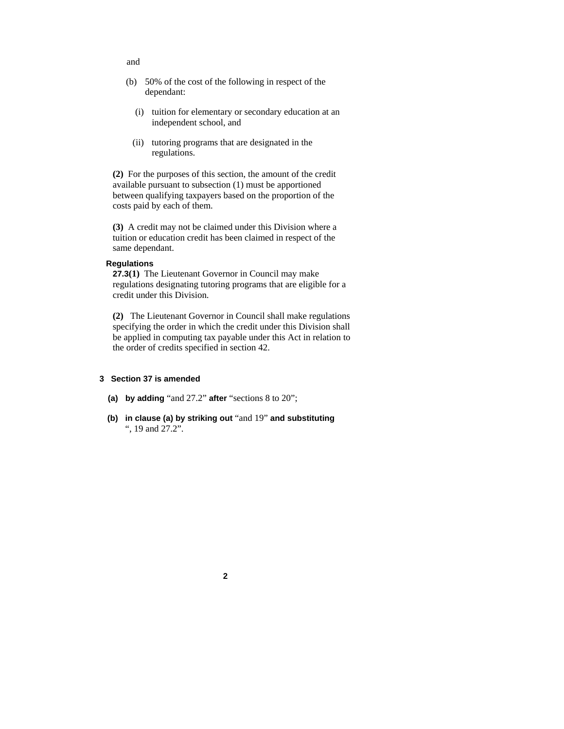- (b) 50% of the cost of the following in respect of the dependant:
	- (i) tuition for elementary or secondary education at an independent school, and
- (ii) tutoring programs that are designated in the regulations.

**(2)** For the purposes of this section, the amount of the credit available pursuant to subsection (1) must be apportioned between qualifying taxpayers based on the proportion of the costs paid by each of them.

**(3)** A credit may not be claimed under this Division where a tuition or education credit has been claimed in respect of the same dependant.

# **Regulations**

**27.3(1)** The Lieutenant Governor in Council may make regulations designating tutoring programs that are eligible for a credit under this Division.

**(2)** The Lieutenant Governor in Council shall make regulations specifying the order in which the credit under this Division shall be applied in computing tax payable under this Act in relation to the order of credits specified in section 42.

## **3 Section 37 is amended**

- **(a) by adding** "and 27.2" **after** "sections 8 to 20";
- **(b) in clause (a) by striking out** "and 19" **and substituting**  ", 19 and 27.2".

**2**

#### and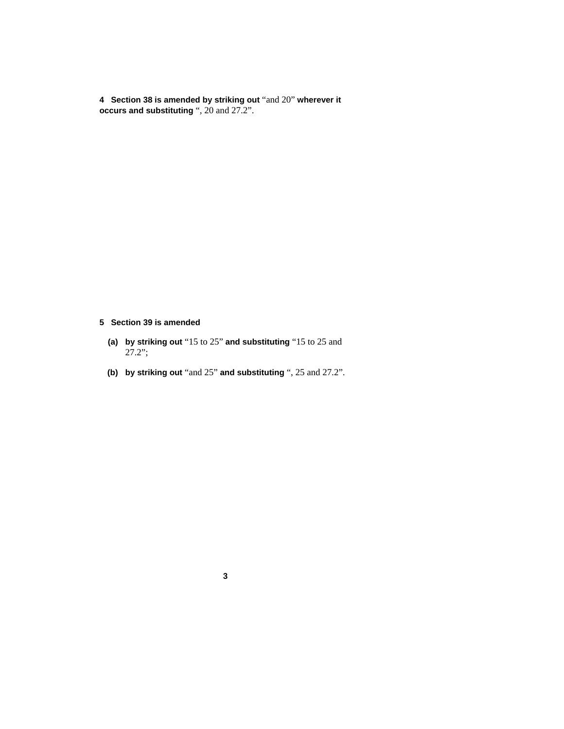**4 Section 38 is amended by striking out** "and 20" **wherever it occurs and substituting** ", 20 and 27.2".

**5 Section 39 is amended** 

- **(a) by striking out** "15 to 25" **and substituting** "15 to 25 and 27.2";
- **(b) by striking out** "and 25" **and substituting** ", 25 and 27.2".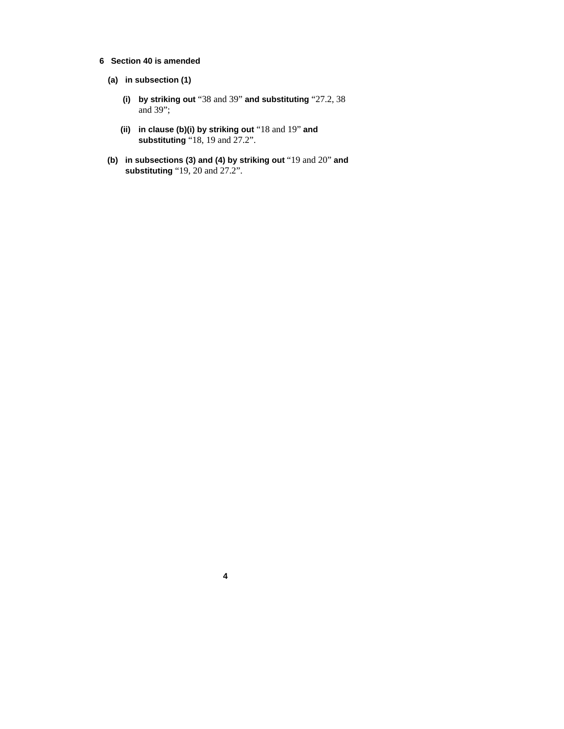- **6 Section 40 is amended** 
	- **(a) in subsection (1)** 
		- **(i) by striking out** "38 and 39" **and substituting** "27.2, 38 and 39";
		- **(ii) in clause (b)(i) by striking out** "18 and 19" **and substituting** "18, 19 and 27.2".
	- **(b) in subsections (3) and (4) by striking out** "19 and 20" **and substituting** "19, 20 and 27.2".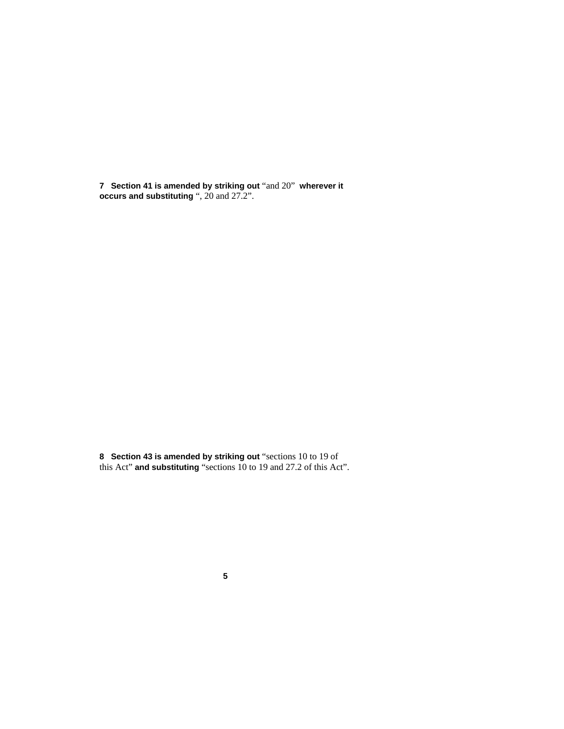**7 Section 41 is amended by striking out** "and 20" **wherever it occurs and substituting** ", 20 and 27.2".

**8 Section 43 is amended by striking out** "sections 10 to 19 of this Act" **and substituting** "sections 10 to 19 and 27.2 of this Act".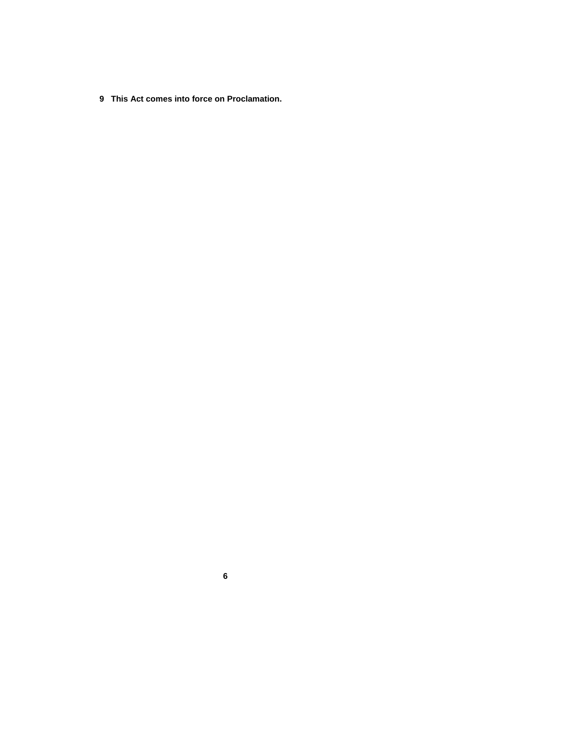**9 This Act comes into force on Proclamation.**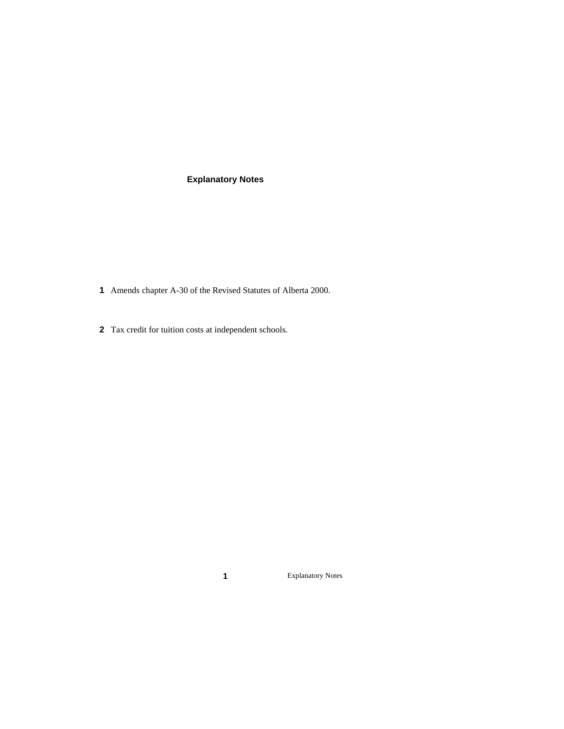# **Explanatory Notes**

- Amends chapter A-30 of the Revised Statutes of Alberta 2000.
- Tax credit for tuition costs at independent schools.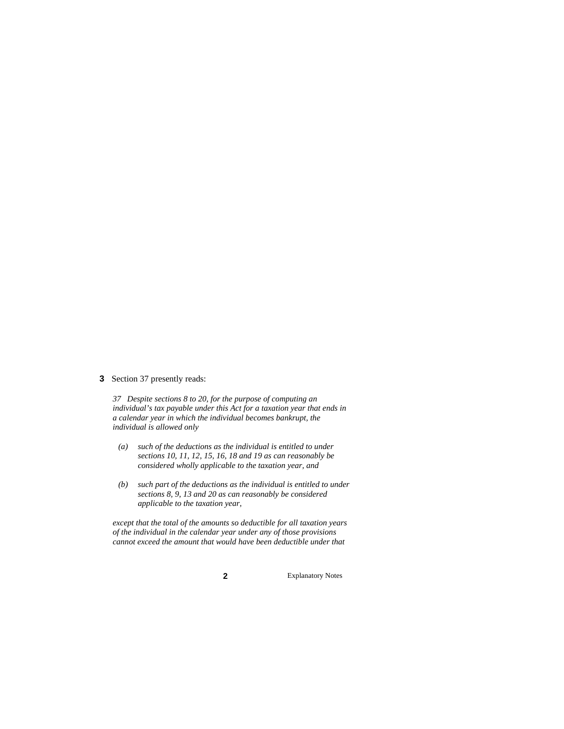#### **3** Section 37 presently reads:

*37 Despite sections 8 to 20, for the purpose of computing an individual's tax payable under this Act for a taxation year that ends in a calendar year in which the individual becomes bankrupt, the individual is allowed only* 

- *(a) such of the deductions as the individual is entitled to under sections 10, 11, 12, 15, 16, 18 and 19 as can reasonably be considered wholly applicable to the taxation year, and*
- *(b) such part of the deductions as the individual is entitled to under sections 8, 9, 13 and 20 as can reasonably be considered applicable to the taxation year,*

*except that the total of the amounts so deductible for all taxation years of the individual in the calendar year under any of those provisions cannot exceed the amount that would have been deductible under that*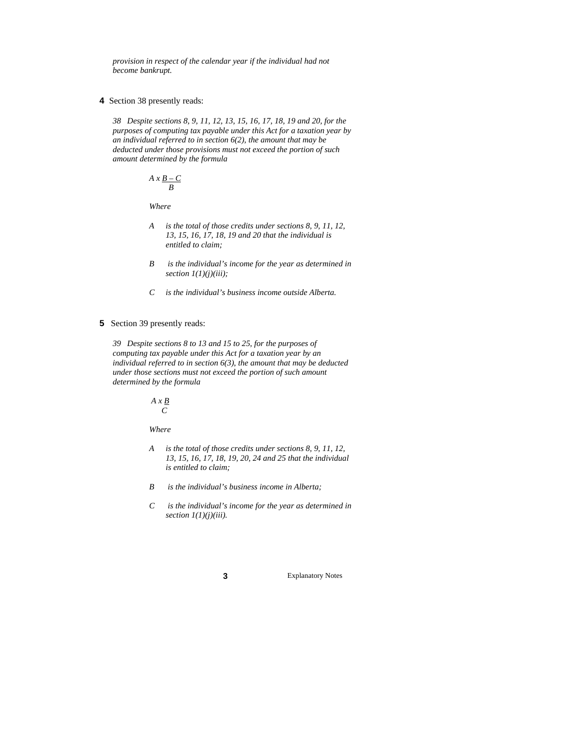*provision in respect of the calendar year if the individual had not become bankrupt.* 

**4** Section 38 presently reads:

*38 Despite sections 8, 9, 11, 12, 13, 15, 16, 17, 18, 19 and 20, for the purposes of computing tax payable under this Act for a taxation year by an individual referred to in section 6(2), the amount that may be deducted under those provisions must not exceed the portion of such amount determined by the formula* 

$$
A \times \frac{B-C}{B}
$$

 *Where* 

- *A is the total of those credits under sections 8, 9, 11, 12, 13, 15, 16, 17, 18, 19 and 20 that the individual is entitled to claim;*
- *B is the individual's income for the year as determined in section 1(1)(j)(iii);*
- *C is the individual's business income outside Alberta.*
- **5** Section 39 presently reads:

*39 Despite sections 8 to 13 and 15 to 25, for the purposes of computing tax payable under this Act for a taxation year by an individual referred to in section 6(3), the amount that may be deducted under those sections must not exceed the portion of such amount determined by the formula* 

> *A x B C*

 *Where* 

- *A is the total of those credits under sections 8, 9, 11, 12, 13, 15, 16, 17, 18, 19, 20, 24 and 25 that the individual is entitled to claim;*
- *B is the individual's business income in Alberta;*
- *C is the individual's income for the year as determined in section 1(1)(j)(iii).*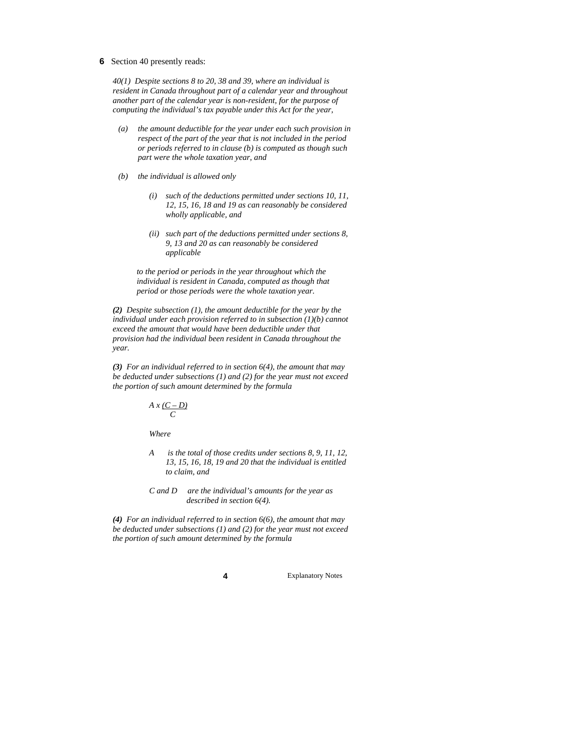**6** Section 40 presently reads:

*40(1) Despite sections 8 to 20, 38 and 39, where an individual is resident in Canada throughout part of a calendar year and throughout another part of the calendar year is non-resident, for the purpose of computing the individual's tax payable under this Act for the year,* 

- *(a) the amount deductible for the year under each such provision in respect of the part of the year that is not included in the period or periods referred to in clause (b) is computed as though such part were the whole taxation year, and*
- *(b) the individual is allowed only* 
	- *(i) such of the deductions permitted under sections 10, 11, 12, 15, 16, 18 and 19 as can reasonably be considered wholly applicable, and*
	- *(ii) such part of the deductions permitted under sections 8, 9, 13 and 20 as can reasonably be considered applicable*

*to the period or periods in the year throughout which the individual is resident in Canada, computed as though that period or those periods were the whole taxation year.* 

*(2) Despite subsection (1), the amount deductible for the year by the individual under each provision referred to in subsection (1)(b) cannot exceed the amount that would have been deductible under that provision had the individual been resident in Canada throughout the year.* 

*(3) For an individual referred to in section 6(4), the amount that may be deducted under subsections (1) and (2) for the year must not exceed the portion of such amount determined by the formula* 

$$
A \, x \, \underline{(C-D)}{C}
$$

 *Where* 

 *A is the total of those credits under sections 8, 9, 11, 12, 13, 15, 16, 18, 19 and 20 that the individual is entitled to claim, and* 

 *C and D are the individual's amounts for the year as described in section 6(4).* 

*(4) For an individual referred to in section 6(6), the amount that may be deducted under subsections (1) and (2) for the year must not exceed the portion of such amount determined by the formula*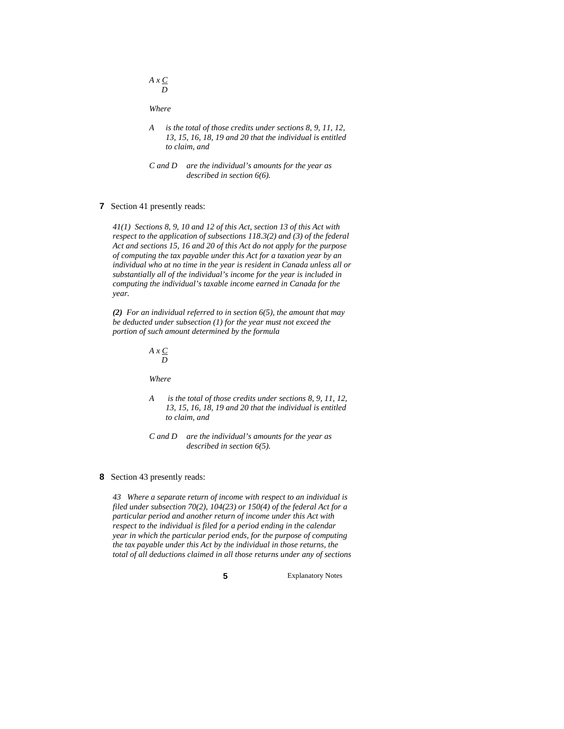*A x C <i>D* 

 *Where* 

- *A is the total of those credits under sections 8, 9, 11, 12, 13, 15, 16, 18, 19 and 20 that the individual is entitled to claim, and*
- *C and D are the individual's amounts for the year as described in section 6(6).*

#### **7** Section 41 presently reads:

*41(1) Sections 8, 9, 10 and 12 of this Act, section 13 of this Act with respect to the application of subsections 118.3(2) and (3) of the federal Act and sections 15, 16 and 20 of this Act do not apply for the purpose of computing the tax payable under this Act for a taxation year by an individual who at no time in the year is resident in Canada unless all or substantially all of the individual's income for the year is included in computing the individual's taxable income earned in Canada for the year.* 

*(2) For an individual referred to in section 6(5), the amount that may be deducted under subsection (1) for the year must not exceed the portion of such amount determined by the formula* 

> *A x C D*

 *Where* 

- *A is the total of those credits under sections 8, 9, 11, 12, 13, 15, 16, 18, 19 and 20 that the individual is entitled to claim, and*
- *C and D are the individual's amounts for the year as described in section 6(5).*

#### **8** Section 43 presently reads:

*43 Where a separate return of income with respect to an individual is filed under subsection 70(2), 104(23) or 150(4) of the federal Act for a particular period and another return of income under this Act with respect to the individual is filed for a period ending in the calendar year in which the particular period ends, for the purpose of computing the tax payable under this Act by the individual in those returns, the total of all deductions claimed in all those returns under any of sections*